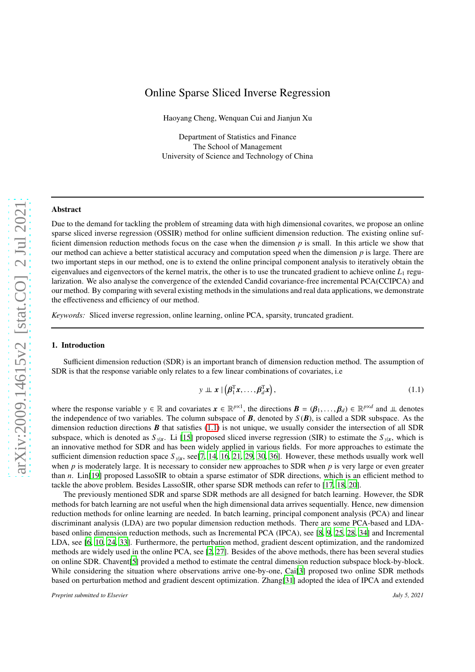# Online Sparse Sliced Inverse Regression

Haoyang Cheng, Wenquan Cui and Jianjun Xu

Department of Statistics and Finance The School of Management University of Science and Technology of China

### Abstract

Due to the demand for tackling the problem of streaming data with high dimensional covarites, we propose an online sparse sliced inverse regression (OSSIR) method for online sufficient dimension reduction. The existing online sufficient dimension reduction methods focus on the case when the dimension *p* is small. In this article we show that our method can achieve a better statistical accuracy and computation speed when the dimension *p* is large. There are two important steps in our method, one is to extend the online principal component analysis to iteratively obtain the eigenvalues and eigenvectors of the kernel matrix, the other is to use the truncated gradient to achieve online *L*<sup>1</sup> regularization. We also analyse the convergence of the extended Candid covariance-free incremental PCA(CCIPCA) and our method. By comparing with several existing methods in the simulations and real data applications, we demonstrate the effectiveness and efficiency of our method.

*Keywords:* Sliced inverse regression, online learning, online PCA, sparsity, truncated gradient.

## 1. Introduction

Sufficient dimension reduction (SDR) is an important branch of dimension reduction method. The assumption of SDR is that the response variable only relates to a few linear combinations of covariates, i.e

<span id="page-0-0"></span>
$$
y \perp x \mid \left(\boldsymbol{\beta}_1^{\mathrm{T}} x, \ldots, \boldsymbol{\beta}_d^{\mathrm{T}} x\right), \tag{1.1}
$$

where the response variable  $y \in \mathbb{R}$  and covariates  $x \in \mathbb{R}^{p \times 1}$ , the directions  $\mathbf{B} = (\mathbf{\beta}_1, \dots, \mathbf{\beta}_d) \in \mathbb{R}^{p \times d}$  and  $\perp \perp$  denotes the independence of two variables. The column subspace of  $\bm{B}$ , denoted by  $S(\bm{B})$ , is called a SDR subspace. As the dimension reduction directions  $\bf{B}$  that satisfies [\(1.1\)](#page-0-0) is not unique, we usually consider the intersection of all SDR subspace, which is denoted as  $S_{y|x}$ . Li [\[15\]](#page-9-0) proposed sliced inverse regression (SIR) to estimate the  $S_{y|x}$ , which is an innovative method for SDR and has been widely applied in various fields. For more approaches to estimate the sufficient dimension reduction space  $S_{y|x}$ , see[\[7,](#page-9-1) [14,](#page-9-2) [16](#page-9-3), [21,](#page-9-4) [29,](#page-10-0) [30](#page-10-1), [36\]](#page-10-2). However, these methods usually work well when *p* is moderately large. It is necessary to consider new approaches to SDR when *p* is very large or even greater than *n*. Lin[\[19](#page-9-5)] proposed LassoSIR to obtain a sparse estimator of SDR directions, which is an efficient method to tackle the above problem. Besides LassoSIR, other sparse SDR methods can refer to [\[17](#page-9-6), [18](#page-9-7), [20\]](#page-9-8).

The previously mentioned SDR and sparse SDR methods are all designed for batch learning. However, the SDR methods for batch learning are not useful when the high dimensional data arrives sequentially. Hence, new dimension reduction methods for online learning are needed. In batch learning, principal component analysis (PCA) and linear discriminant analysis (LDA) are two popular dimension reduction methods. There are some PCA-based and LDAbased online dimension reduction methods, such as Incremental PCA (IPCA), see [\[8](#page-9-9), [9](#page-9-10), [25,](#page-9-11) [28,](#page-10-3) [34\]](#page-10-4) and Incremental LDA, see [\[6,](#page-9-12) [10](#page-9-13), [24,](#page-9-14) [33\]](#page-10-5). Furthermore, the perturbation method, gradient descent optimization, and the randomized methods are widely used in the online PCA, see [\[2,](#page-9-15) [27\]](#page-10-6). Besides of the above methods, there has been several studies on online SDR. Chavent[\[5\]](#page-9-16) provided a method to estimate the central dimension reduction subspace block-by-block. While considering the situation where observations arrive one-by-one, Cai<sup>[\[3](#page-9-17)]</sup> proposed two online SDR methods based on perturbation method and gradient descent optimization. Zhang[\[31\]](#page-10-7) adopted the idea of IPCA and extended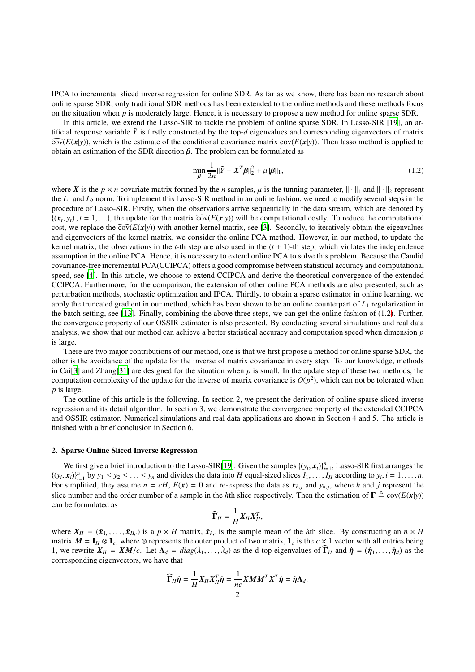IPCA to incremental sliced inverse regression for online SDR. As far as we know, there has been no research about online sparse SDR, only traditional SDR methods has been extended to the online methods and these methods focus on the situation when *p* is moderately large. Hence, it is necessary to propose a new method for online sparse SDR.

In this article, we extend the Lasso-SIR to tackle the problem of online sparse SDR. In Lasso-SIR [\[19](#page-9-5)], an artificial response variable  $\tilde{Y}$  is firstly constructed by the top-*d* eigenvalues and corresponding eigenvectors of matrix  $\widehat{\text{cov}}(E(\textbf{x}|\textbf{y}))$ , which is the estimate of the conditional covariance matrix  $\text{cov}(E(\textbf{x}|\textbf{y}))$ . Then lasso method is applied to obtain an estimation of the SDR direction  $\beta$ . The problem can be formulated as

<span id="page-1-0"></span>
$$
\min_{\beta} \frac{1}{2n} \|\tilde{Y} - X^T \beta\|_2^2 + \mu \|\beta\|_1,\tag{1.2}
$$

where *X* is the  $p \times n$  covariate matrix formed by the *n* samples,  $\mu$  is the tunning parameter,  $\|\cdot\|_1$  and  $\|\cdot\|_2$  represent the *L*<sup>1</sup> and *L*<sup>2</sup> norm. To implement this Lasso-SIR method in an online fashion, we need to modify several steps in the procedure of Lasso-SIR. Firstly, when the observations arrive sequentially in the data stream, which are denoted by  $\{(x_t, y_t), t = 1, \ldots\}$ , the update for the matrix  $\widehat{\text{cov}}(E(x|y))$  will be computational costly. To reduce the computational cost, we replace the  $\overline{\text{cov}}(E(\mathbf{x}|\mathbf{y}))$  with another kernel matrix, see [\[3\]](#page-9-17). Secondly, to iteratively obtain the eigenvalues and eigenvectors of the kernel matrix, we consider the online PCA method. However, in our method, to update the kernel matrix, the observations in the *t*-th step are also used in the  $(t + 1)$ -th step, which violates the independence assumption in the online PCA. Hence, it is necessary to extend online PCA to solve this problem. Because the Candid covariance-free incremental PCA(CCIPCA) offers a good compromise between statistical accuracy and computational speed, see [\[4\]](#page-9-18). In this article, we choose to extend CCIPCA and derive the theoretical convergence of the extended CCIPCA. Furthermore, for the comparison, the extension of other online PCA methods are also presented, such as perturbation methods, stochastic optimization and IPCA. Thirdly, to obtain a sparse estimator in online learning, we apply the truncated gradient in our method, which has been shown to be an online counterpart of *L*<sup>1</sup> regularization in the batch setting, see [\[13\]](#page-9-19). Finally, combining the above three steps, we can get the online fashion of [\(1.2\)](#page-1-0). Further, the convergence property of our OSSIR estimator is also presented. By conducting several simulations and real data analysis, we show that our method can achieve a better statistical accuracy and computation speed when dimension *p* is large.

There are two major contributions of our method, one is that we first propose a method for online sparse SDR, the other is the avoidance of the update for the inverse of matrix covariance in every step. To our knowledge, methods in Cai[\[3](#page-9-17)] and Zhang[\[31\]](#page-10-7) are designed for the situation when *p* is small. In the update step of these two methods, the computation complexity of the update for the inverse of matrix covariance is  $O(p^2)$ , which can not be tolerated when *p* is large.

The outline of this article is the following. In section 2, we present the derivation of online sparse sliced inverse regression and its detail algorithm. In section 3, we demonstrate the convergence property of the extended CCIPCA and OSSIR estimator. Numerical simulations and real data applications are shown in Section 4 and 5. The article is finished with a brief conclusion in Section 6.

### 2. Sparse Online Sliced Inverse Regression

We first give a brief introduction to the Lasso-SIR[\[19\]](#page-9-5). Given the samples  $\{(y_i, x_i)\}_{i=1}^n$ , Lasso-SIR first arranges the  $\{(y_i, x_i)\}_{i=1}^n$  by  $y_1 \le y_2 \le \ldots \le y_n$  and divides the data into H equal-sized slices  $I_1, \ldots, I_H$  according to  $y_i, i = 1, \ldots, n$ . For simplified, they assume  $n = cH$ ,  $E(x) = 0$  and re-express the data as  $x_{h,j}$  and  $y_{h,j}$ , where *h* and *j* represent the slice number and the order number of a sample in the *h*th slice respectively. Then the estimation of  $\Gamma \triangleq cov(E(\mathbf{x}|y))$ can be formulated as

$$
\widehat{\Gamma}_H = \frac{1}{H} X_H X_H^T,
$$

where  $X_H = (\bar{x}_{1, \dots}, \bar{x}_{H, \cdot})$  is a  $p \times H$  matrix,  $\bar{x}_{h, \cdot}$  is the sample mean of the *h*th slice. By constructing an  $n \times H$ matrix  $M = I_H \otimes 1_c$ , where  $\otimes$  represents the outer product of two matrix,  $1_c$  is the  $c \times 1$  vector with all entries being 1, we rewrite  $X_H = XM/c$ . Let  $\Lambda_d = diag(\hat{\lambda}_1, ..., \hat{\lambda}_d)$  as the d-top eigenvalues of  $\hat{\Gamma}_H$  and  $\hat{\eta} = (\hat{\eta}_1, ..., \hat{\eta}_d)$  as the corresponding eigenvectors, we have that

$$
\widehat{\Gamma}_{H}\widehat{\eta} = \frac{1}{H}X_{H}X_{H}^{T}\widehat{\eta} = \frac{1}{nc}XMM^{T}X^{T}\widehat{\eta} = \widehat{\eta}\Lambda_{d}.
$$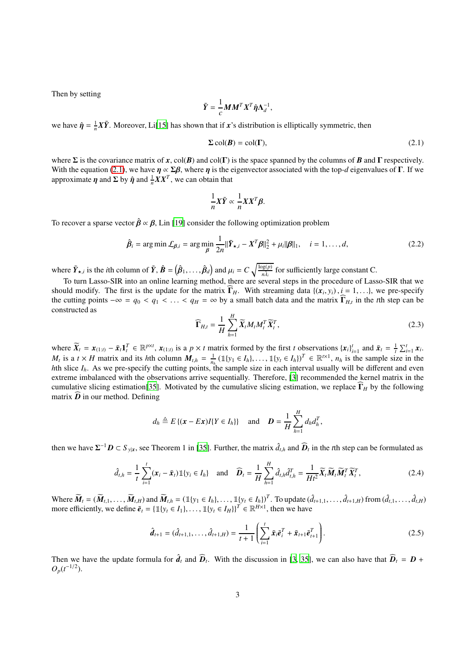Then by setting

$$
\tilde{Y} = \frac{1}{c} M M^T X^T \hat{\eta} \Lambda_d^{-1},
$$

we have  $\hat{\eta} = \frac{1}{n}X\tilde{Y}$ . Moreover, Li[\[15\]](#page-9-0) has shown that if *x*'s distribution is elliptically symmetric, then

<span id="page-2-0"></span>
$$
\Sigma \operatorname{col}(\boldsymbol{B}) = \operatorname{col}(\boldsymbol{\Gamma}),\tag{2.1}
$$

where  $\Sigma$  is the covariance matrix of *x*, col(*B*) and col(Γ) is the space spanned by the columns of *B* and Γ respectively. With the equation [\(2.1\)](#page-2-0), we have  $\eta \propto \Sigma \beta$ , where  $\eta$  is the eigenvector associated with the top-*d* eigenvalues of Γ. If we approximate  $\eta$  and  $\Sigma$  by  $\hat{\eta}$  and  $\frac{1}{n}XX^T$ , we can obtain that

$$
\frac{1}{n}X\tilde{Y}\propto \frac{1}{n}XX^T\beta.
$$

To recover a sparse vector  $\hat{\beta} \propto \beta$ , Lin [\[19\]](#page-9-5) consider the following optimization problem

<span id="page-2-1"></span>
$$
\hat{\boldsymbol{\beta}}_i = \arg\min \mathcal{L}_{\boldsymbol{\beta},i} = \arg\min_{\boldsymbol{\beta}} \frac{1}{2n} ||\tilde{\boldsymbol{Y}}_{\star,i} - \boldsymbol{X}^T \boldsymbol{\beta}||_2^2 + \mu_i ||\boldsymbol{\beta}||_1, \quad i = 1,\ldots,d,
$$
\n(2.2)

where  $\tilde{Y}_{\star,i}$  is the *i*th column of  $\tilde{Y}, \hat{B} = (\hat{\beta}_1, \dots, \hat{\beta}_d)$  and  $\mu_i = C \sqrt{\frac{\log(p)}{n\lambda_i}}$  for sufficiently large constant C.

To turn Lasso-SIR into an online learning method, there are several steps in the procedure of Lasso-SIR that we should modify. The first is the update for the matrix  $\widehat{\mathbf{\Gamma}}_H$ . With streaming data  $\{(\mathbf{x}_i, y_i), i = 1, \ldots\}$ , we pre-specify the cutting points  $-\infty = q_0 < q_1 < ... < q_H = \infty$  by a small batch data and the matrix  $\widehat{\mathbf{\Gamma}}_{H,t}$  in the *t*th step can be constructed as

$$
\widehat{\mathbf{\Gamma}}_{H,t} = \frac{1}{H} \sum_{h=1}^{H} \widetilde{X}_t M_t M_t^T \widetilde{X}_t^T,
$$
\n(2.3)

where  $\widetilde{X}_t = x_{(1:t)} - \bar{x}_t \mathbf{1}_t^T \in \mathbb{R}^{p \times t}$ ,  $x_{(1:t)}$  is a  $p \times t$  matrix formed by the first t observations  $\{x_i\}_{i=1}^t$  and  $\bar{x}_t = \frac{1}{t} \sum_{i=1}^t x_i$ .  $M_t$  is a  $t \times H$  matrix and its hth column  $M_{t,h} = \frac{1}{n_h} (\mathbb{1}\{y_1 \in I_h\}, \dots, \mathbb{1}\{y_t \in I_h\})^T \in \mathbb{R}^{t \times 1}, n_h$  is the sample size in the *h*th slice  $I_h$ . As we pre-specify the cutting points, the sample size in each interval usually will be different and even extreme imbalanced with the observations arrive sequentially. Therefore, [\[3\]](#page-9-17) recommended the kernel matrix in the cumulative slicing estimation[\[35\]](#page-10-8). Motivated by the cumulative slicing estimation, we replace  $\widehat{\Gamma}_H$  by the following matrix  $\widehat{\boldsymbol{D}}$  in our method. Defining

$$
d_h \triangleq E\{(\mathbf{x} - E\mathbf{x})I\{Y \in I_h\}\}\
$$
 and  $\mathbf{D} = \frac{1}{H}\sum_{h=1}^H d_h d_h^T$ ,

then we have  $\Sigma^{-1}D \subset S_{y|x}$ , see Theorem 1 in [\[35](#page-10-8)]. Further, the matrix  $\hat{d}_{t,h}$  and  $\widehat{D}_t$  in the *t*th step can be formulated as

$$
\hat{d}_{t,h} = \frac{1}{t} \sum_{i=1}^{t} (\mathbf{x}_i - \bar{\mathbf{x}}_t) \mathbb{1}\{y_i \in I_h\} \quad \text{and} \quad \widehat{\mathbf{D}}_t = \frac{1}{H} \sum_{h=1}^{H} \hat{d}_{t,h} \hat{d}_{t,h}^T = \frac{1}{Ht^2} \widetilde{\mathbf{X}}_t \widetilde{\mathbf{M}}_t \widetilde{\mathbf{M}}_t^T \widetilde{\mathbf{X}}_t^T,
$$
\n(2.4)

Where  $\widetilde{M}_t = (\widetilde{M}_{t,1}, \ldots, \widetilde{M}_{t,H})$  and  $\widetilde{M}_{t,h} = (\mathbb{1}\{y_1 \in I_h\}, \ldots, \mathbb{1}\{y_t \in I_h\})^T$ . To update  $(\hat{d}_{t+1,1}, \ldots, \hat{d}_{t+1,H})$  from  $(\hat{d}_{t,1}, \ldots, \hat{d}_{t,H})$ more efficiently, we define  $\tilde{e}_t = {\mathbb{1}{y_t \in I_1}, \dots, \mathbb{1}{y_t \in I_H}}^T \in \mathbb{R}^{H \times 1}$ , then we have

<span id="page-2-2"></span>
$$
\hat{\boldsymbol{d}}_{t+1} = (\hat{d}_{t+1,1}, \dots, \hat{d}_{t+1,H}) = \frac{1}{t+1} \left( \sum_{i=1}^{t} \tilde{\boldsymbol{x}}_i \tilde{\boldsymbol{e}}_i^T + \tilde{\boldsymbol{x}}_{t+1} \tilde{\boldsymbol{e}}_{t+1}^T \right).
$$
(2.5)

Then we have the update formula for  $\hat{d}_t$  and  $\hat{D}_t$ . With the discussion in [\[3,](#page-9-17) [35\]](#page-10-8), we can also have that  $\hat{D}_t = D +$  $O_p(t^{-1/2})$ .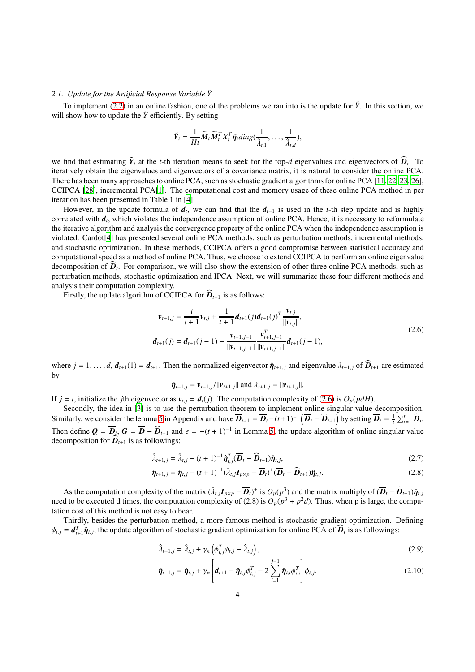### 2.1. Update for the Artificial Response Variable  $\tilde{Y}$

To implement [\(2.2\)](#page-2-1) in an online fashion, one of the problems we ran into is the update for  $\tilde{Y}$ . In this section, we will show how to update the  $\tilde{Y}$  efficiently. By setting

$$
\tilde{Y}_t = \frac{1}{Ht} \widetilde{M}_t \widetilde{M}_t^T X_t^T \hat{\eta}_t diag(\frac{1}{\hat{\lambda}_{t,1}}, \dots, \frac{1}{\hat{\lambda}_{t,d}}),
$$

we find that estimating  $\tilde{Y}_t$  at the *t*-th iteration means to seek for the top-*d* eigenvalues and eigenvectors of  $\hat{D}_t$ . To iteratively obtain the eigenvalues and eigenvectors of a covariance matrix, it is natural to consider the online PCA. There has been many approaches to online PCA, such as stochastic gradient algorithms for online PCA [\[11,](#page-9-20) [22](#page-9-21), [23,](#page-9-22) [26\]](#page-10-9), CCIPCA [\[28\]](#page-10-3), incremental PCA[\[1](#page-9-23)]. The computational cost and memory usage of these online PCA method in per iteration has been presented in Table 1 in [\[4\]](#page-9-18).

However, in the update formula of  $d_t$ , we can find that the  $d_{t-1}$  is used in the *t*-th step update and is highly correlated with *d<sup>t</sup>* , which violates the independence assumption of online PCA. Hence, it is necessary to reformulate the iterative algorithm and analysis the convergence property of the online PCA when the independence assumption is violated. Cardot[\[4\]](#page-9-18) has presented several online PCA methods, such as perturbation methods, incremental methods, and stochastic optimization. In these methods, CCIPCA offers a good compromise between statistical accuracy and computational speed as a method of online PCA. Thus, we choose to extend CCIPCA to perform an online eigenvalue decomposition of  $D_t$ . For comparison, we will also show the extension of other three online PCA methods, such as perturbation methods, stochastic optimization and IPCA. Next, we will summarize these four different methods and analysis their computation complexity.

Firstly, the update algorithm of CCIPCA for  $\overline{D}_{t+1}$  is as follows:

$$
\mathbf{v}_{t+1,j} = \frac{t}{t+1} \mathbf{v}_{t,j} + \frac{1}{t+1} \mathbf{d}_{t+1}(j) \mathbf{d}_{t+1}(j)^T \frac{\mathbf{v}_{t,j}}{\|\mathbf{v}_{t,j}\|},
$$
  

$$
\mathbf{d}_{t+1}(j) = \mathbf{d}_{t+1}(j-1) - \frac{\mathbf{v}_{t+1,j-1}}{\|\mathbf{v}_{t+1,j-1}\|} \frac{\mathbf{v}_{t+1,j-1}^T}{\|\mathbf{v}_{t+1,j-1}\|} \mathbf{d}_{t+1}(j-1),
$$
\n(2.6)

<span id="page-3-0"></span>where  $j = 1, \ldots, d$ ,  $d_{t+1}(1) = d_{t+1}$ . Then the normalized eigenvector  $\hat{\eta}_{t+1,j}$  and eigenvalue  $\lambda_{t+1,j}$  of  $\hat{D}_{t+1}$  are estimated by

$$
\hat{\eta}_{t+1,j} = \nu_{t+1,j}/||\nu_{t+1,j}|| \text{ and } \lambda_{t+1,j} = ||\nu_{t+1,j}||.
$$

If  $j = t$ , initialize the *j*th eigenvector as  $v_{t,j} = d_t(j)$ . The computation complexity of [\(2.6\)](#page-3-0) is  $O_p(p dH)$ .

Secondly, the idea in [\[3\]](#page-9-17) is to use the perturbation theorem to implement online singular value decomposition. Similarly, we consider the lemma [5](#page-10-10) in Appendix and have  $\overline{\mathbf{D}}_{t+1} = \overline{\mathbf{D}}_t - (t+1)^{-1} \left( \overline{\mathbf{D}}_t - \widehat{\mathbf{D}}_{t+1} \right)$  by setting  $\overline{\mathbf{D}}_t = \frac{1}{t} \sum_{i=1}^t \widehat{\mathbf{D}}_i$ . Then define  $Q = \overline{D}_t$ ,  $G = \overline{D} - \widehat{D}_{t+1}$  and  $\epsilon = -(t+1)^{-1}$  in Lemma [5,](#page-10-10) the update algorithm of online singular value decomposition for  $\widehat{\mathbf{D}}_{t+1}$  is as followings:

$$
\hat{\lambda}_{t+1,j} = \hat{\lambda}_{t,j} - (t+1)^{-1} \hat{\boldsymbol{\eta}}_{t,j}^T (\overline{\boldsymbol{D}}_t - \widehat{\boldsymbol{D}}_{t+1}) \hat{\boldsymbol{\eta}}_{t,j},
$$
\n(2.7)

$$
\hat{\boldsymbol{\eta}}_{t+1,j} = \hat{\boldsymbol{\eta}}_{t,j} - (t+1)^{-1} (\hat{\lambda}_{t,j} \boldsymbol{I}_{p \times p} - \overline{\boldsymbol{D}}_t)^+ (\overline{\boldsymbol{D}}_t - \widehat{\boldsymbol{D}}_{t+1}) \hat{\boldsymbol{\eta}}_{t,j}.
$$
\n(2.8)

As the computation complexity of the matrix  $(\hat{\lambda}_{t,j}I_{p\times p} - \overline{D}_t)^+$  is  $O_p(p^3)$  and the matrix multiply of  $(\overline{D}_t - \widehat{D}_{t+1})\hat{\eta}_{t,j}$ need to be executed d times, the computation complexity of (2.8) is  $O_p(p^3 + p^2d)$ . Thus, when p is large, the computation cost of this method is not easy to bear.

Thirdly, besides the perturbation method, a more famous method is stochastic gradient optimization. Defining  $\phi_{t,j} = d_{t+1}^T \hat{\eta}_{t,j}$ , the update algorithm of stochastic gradient optimization for online PCA of  $\hat{D}_t$  is as followings:

$$
\hat{\lambda}_{t+1,j} = \hat{\lambda}_{t,j} + \gamma_n \left( \phi_{t,j}^T \phi_{t,j} - \hat{\lambda}_{t,j} \right),\tag{2.9}
$$

$$
\hat{\eta}_{t+1,j} = \hat{\eta}_{t,j} + \gamma_n \left[ d_{t+1} - \hat{\eta}_{t,j} \phi_{t,j}^T - 2 \sum_{i=1}^{j-1} \hat{\eta}_{t,i} \phi_{t,i}^T \right] \phi_{t,j}.
$$
\n(2.10)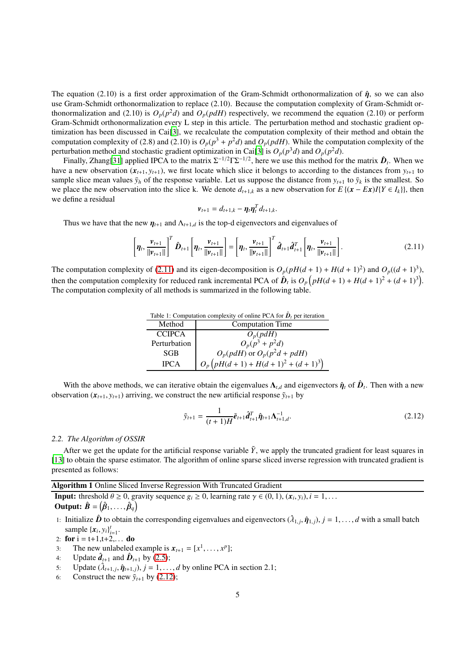The equation (2.10) is a first order approximation of the Gram-Schmidt orthonormalization of  $\hat{\eta}$ , so we can also use Gram-Schmidt orthonormalization to replace (2.10). Because the computation complexity of Gram-Schmidt orthonormalization and (2.10) is  $O_p(p^2d)$  and  $O_p(pdH)$  respectively, we recommend the equation (2.10) or perform Gram-Schmidt orthonormalization every L step in this article. The perturbation method and stochastic gradient optimization has been discussed in Cai[\[3\]](#page-9-17), we recalculate the computation complexity of their method and obtain the computation complexity of (2.8) and (2.10) is  $O_p(p^3 + p^2d)$  and  $O_p(pdH)$ . While the computation complexity of the perturbation method and stochastic gradient optimization in Cai[\[3](#page-9-17)] is  $O_p(p^3d)$  and  $O_p(p^2d)$ .

Finally, Zhang[\[31\]](#page-10-7) applied IPCA to the matrix  $\Sigma^{-1/2}\Gamma\Sigma^{-1/2}$ , here we use this method for the matrix  $\hat{D}_t$ . When we have a new observation  $(x_{t+1}, y_{t+1})$ , we first locate which slice it belongs to according to the distances from  $y_{t+1}$  to sample slice mean values  $\bar{y}_h$  of the response variable. Let us suppose the distance from  $y_{t+1}$  to  $\bar{y}_k$  is the smallest. So we place the new observation into the slice k. We denote  $d_{t+1,k}$  as a new observation for  $E\{(x - Ex)I\{Y \in I_k\}\}$ , then we define a residual

$$
\boldsymbol{v}_{t+1} = d_{t+1,k} - \boldsymbol{\eta}_t \boldsymbol{\eta}_t^T d_{t+1,k}.
$$

Thus we have that the new  $\eta_{t+1}$  and  $\Lambda_{t+1,d}$  is the top-d eigenvectors and eigenvalues of

<span id="page-4-0"></span>
$$
\left[\eta_t, \frac{\nu_{t+1}}{\|\nu_{t+1}\|}\right]^T \hat{\mathbf{D}}_{t+1} \left[\eta_t, \frac{\nu_{t+1}}{\|\nu_{t+1}\|}\right] = \left[\eta_t, \frac{\nu_{t+1}}{\|\nu_{t+1}\|}\right]^T \hat{\mathbf{d}}_{t+1} \hat{\mathbf{d}}_{t+1}^T \left[\eta_t, \frac{\nu_{t+1}}{\|\nu_{t+1}\|}\right].
$$
\n(2.11)

The computation complexity of [\(2.11\)](#page-4-0) and its eigen-decomposition is  $O_p(pH(d+1) + H(d+1)^2)$  and  $O_p((d+1)^3)$ , then the computation complexity for reduced rank incremental PCA of  $\hat{\boldsymbol{D}}_t$  is  $O_p(pH(d+1) + H(d+1)^2 + (d+1)^3)$ . The computation complexity of all methods is summarized in the following table.

Table 1: Computation complexity of online PCA for  $\hat{\bm{D}}_t$  per iteration

| Method        | <b>Computation Time</b>             |
|---------------|-------------------------------------|
| <b>CCIPCA</b> | $O_p(pdH)$                          |
| Perturbation  | $O_p(p^3 + p^2d)$                   |
| <b>SGB</b>    | $O_p(pdH)$ or $O_p(p^2d + pdH)$     |
| <b>IPCA</b>   | $O_p(pH(d+1) + H(d+1)^2 + (d+1)^3)$ |

With the above methods, we can iterative obtain the eigenvalues  $\Lambda_{t,d}$  and eigenvectors  $\hat{\eta}_t$  of  $\hat{D}_t$ . Then with a new observation  $(x_{t+1}, y_{t+1})$  arriving, we construct the new artificial response  $\tilde{y}_{t+1}$  by

<span id="page-4-1"></span>
$$
\tilde{y}_{t+1} = \frac{1}{(t+1)H}\tilde{e}_{t+1}\hat{d}_{t+1}^T\hat{\eta}_{t+1}\Lambda_{t+1,d}^{-1}.
$$
\n(2.12)

#### *2.2. The Algorithm of OSSIR*

After we get the update for the artificial response variable  $\tilde{Y}$ , we apply the truncated gradient for least squares in [\[13\]](#page-9-19) to obtain the sparse estimator. The algorithm of online sparse sliced inverse regression with truncated gradient is presented as follows:

Algorithm 1 Online Sliced Inverse Regression With Truncated Gradient

**Input:** threshold  $\theta \ge 0$ , gravity sequence  $g_i \ge 0$ , learning rate  $\gamma \in (0, 1)$ ,  $(x_i, y_i)$ ,  $i = 1, \ldots$ Output:  $\hat{\mathbf{B}} = (\hat{\boldsymbol{\beta}}_1, \ldots, \hat{\boldsymbol{\beta}}_q)$ 

- 1: Initialize  $\hat{\bm{D}}$  to obtain the corresponding eigenvalues and eigenvectors  $(\hat{\lambda}_{1,j},\hat{\eta}_{1,j}), j=1,\ldots,d$  with a small batch sample  $\{x_i, y_i\}_{i=1}^t$ .
- 2: for  $i = t+1, t+2,...$  do
- 3: The new unlabeled example is  $x_{t+1} = [x^1, \dots, x^p];$
- 4: Update  $\hat{\boldsymbol{d}}_{t+1}$  and  $\hat{\boldsymbol{D}}_{t+1}$  by [\(2.5\)](#page-2-2);
- 5: Update  $(\hat{\lambda}_{t+1,j}, \hat{\eta}_{t+1,j}), j = 1, \ldots, d$  by online PCA in section 2.1;
- 6: Construct the new  $\tilde{y}_{t+1}$  by [\(2.12\)](#page-4-1);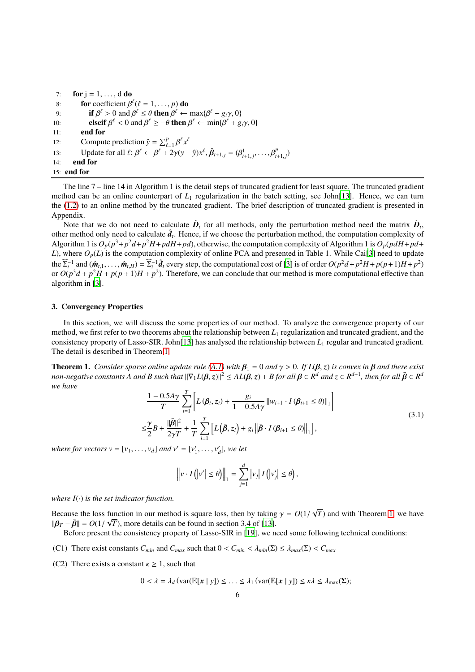| 7:  | for $j = 1, \ldots, d$ do                                                                                                                                   |
|-----|-------------------------------------------------------------------------------------------------------------------------------------------------------------|
| 8:  | for coefficient $\beta^{\ell}(\ell = 1, , p)$ do                                                                                                            |
| 9:  | if $\beta^{\ell} > 0$ and $\beta^{\ell} \leq \theta$ then $\beta^{\ell} \leftarrow \max\{\beta^{\ell} - g_i\gamma, 0\}$                                     |
| 10: | elseif $\beta^{\ell} < 0$ and $\beta^{\ell} \ge -\theta$ then $\beta^{\ell} \leftarrow \min{\beta^{\ell} + g_i \gamma, 0}$                                  |
| 11: | end for                                                                                                                                                     |
| 12: | Compute prediction $\hat{y} = \sum_{\ell=1}^{p} \beta^{\ell} x^{\ell}$                                                                                      |
| 13: | Update for all $\ell: \beta^{\ell} \leftarrow \beta^{\ell} + 2\gamma(y - \hat{y})x^{\ell}, \hat{\beta}_{t+1,j} = (\beta^1_{t+1,j}, \dots, \beta^p_{t+1,j})$ |
| 14: | end for                                                                                                                                                     |
|     | $15:$ end for                                                                                                                                               |

The line 7 – line 14 in Algorithm 1 is the detail steps of truncated gradient for least square. The truncated gradient method can be an online counterpart of  $L_1$  regularization in the batch setting, see John[\[13\]](#page-9-19). Hence, we can turn the [\(1.2\)](#page-1-0) to an online method by the truncated gradient. The brief description of truncated gradient is presented in Appendix.

Note that we do not need to calculate  $\hat{D}_t$  for all methods, only the perturbation method need the matrix  $\hat{D}_t$ , other method only need to calculate  $\hat{d}_t$ . Hence, if we choose the perturbation method, the computation complexity of Algorithm 1 is  $O_p(p^3 + p^2d + p^2H + pdH + pd)$ , otherwise, the computation complexity of Algorithm 1 is  $O_p(pdH + pd +$ *L*), where  $O_p(L)$  is the computation complexity of online PCA and presented in Table 1. While Cai[\[3\]](#page-9-17) need to update the  $\widehat{\Sigma}_t^{-1}$  and  $(\hat{\mathbf{m}}_{t,1},\ldots,\hat{\mathbf{m}}_{t,H})=\widehat{\Sigma}_t^{-1}\hat{\mathbf{d}}_t$  every step, the computational cost of [\[3](#page-9-17)] is of order  $O(p^2d+p^2H+p(p+1)H+p^2)$ or  $O(p^3d + p^2H + p(p+1)H + p^2)$ . Therefore, we can conclude that our method is more computational effective than algorithm in [\[3](#page-9-17)].

### 3. Convergency Properties

In this section, we will discuss the some properties of our method. To analyze the convergence property of our method, we first refer to two theorems about the relationship between  $L_1$  regularization and truncated gradient, and the consistency property of Lasso-SIR. John<sup>[\[13\]](#page-9-19)</sup> has analysed the relationship between  $L_1$  regular and truncated gradient. The detail is described in Theorem [1.](#page-5-0)

**Theorem 1.** *Consider sparse online update rule* [\(A.1\)](#page-10-11) *with*  $\beta_1 = 0$  *and*  $\gamma > 0$ . *If*  $L(\beta, z)$  *is convex in*  $\beta$  *and there exist non-negative constants A and B such that*  $\|\nabla_1 L(\beta, z)\|^2 \leq A L(\beta, z) + B$  for all  $\beta \in R^d$  and  $z \in R^{d+1}$ , then for all  $\bar{\beta} \in R^d$ *we have*

<span id="page-5-0"></span>
$$
\frac{1 - 0.5A\gamma}{T} \sum_{i=1}^{T} \left[ L(\beta_i, z_i) + \frac{g_i}{1 - 0.5A\gamma} ||w_{i+1} \cdot I(\beta_{i+1} \le \theta) ||_1 \right]
$$
  

$$
\le \frac{\gamma}{2} B + \frac{||\bar{\beta}||^2}{2\gamma T} + \frac{1}{T} \sum_{i=1}^{T} \left[ L(\bar{\beta}, z_i) + g_i ||\bar{\beta} \cdot I(\beta_{i+1} \le \theta) ||_1 \right],
$$
 (3.1)

*where for vectors*  $v = [v_1, ..., v_d]$  *and*  $v' = [v'_1, ..., v'_d]$ *, we let* 

$$
\left\|v \cdot I\left(\left|v'\right| \leq \theta\right)\right\|_1 = \sum_{j=1}^d \left|v_j\right| I\left(\left|v'_j\right| \leq \theta\right),\
$$

*where*  $I(\cdot)$  *is the set indicator function.* 

Because the loss function in our method is square loss, then by taking  $\gamma = O(1/\sqrt{T})$  and with Theorem [1,](#page-5-0) we have  $\|\beta_T - \bar{\beta}\| = O(1/\sqrt{T})$ , more details can be found in section 3.4 of [\[13\]](#page-9-19).

Before present the consistency property of Lasso-SIR in [\[19\]](#page-9-5), we need some following technical conditions:

- (C1) There exist constants  $C_{min}$  and  $C_{max}$  such that  $0 < C_{min} < \lambda_{min}(\Sigma) \leq \lambda_{max}(\Sigma) < C_{max}$
- (C2) There exists a constant  $\kappa \geq 1$ , such that

$$
0 < \lambda = \lambda_d \left( \text{var}(\mathbb{E}[\mathbf{x} \mid y]) \leq \ldots \leq \lambda_1 \left( \text{var}(\mathbb{E}[\mathbf{x} \mid y]) \leq \kappa \lambda \leq \lambda_{\max}(\Sigma) \right) \right)
$$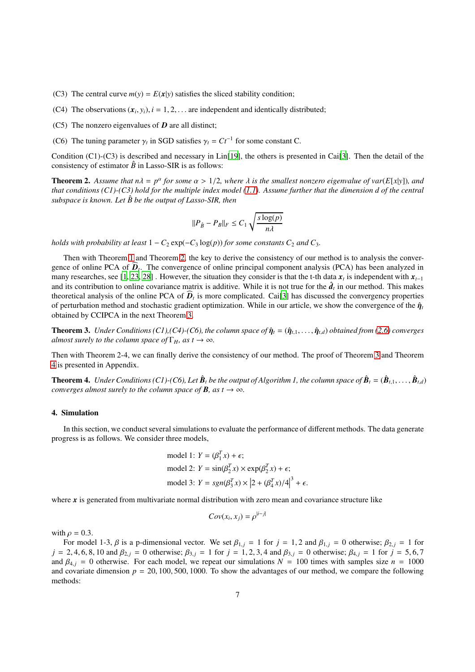- (C3) The central curve  $m(y) = E(x|y)$  satisfies the sliced stability condition;
- (C4) The observations  $(x_i, y_i)$ ,  $i = 1, 2, \ldots$  are independent and identically distributed;
- (C5) The nonzero eigenvalues of *D* are all distinct;
- (C6) The tuning parameter  $\gamma_t$  in SGD satisfies  $\gamma_t = Ct^{-1}$  for some constant C.

Condition (C1)-(C3) is described and necessary in Lin[\[19\]](#page-9-5), the others is presented in Cai[\[3](#page-9-17)]. Then the detail of the consistency of estimator  $\hat{B}$  in Lasso-SIR is as follows:

**Theorem 2.** Assume that  $n\lambda = p^{\alpha}$  for some  $\alpha > 1/2$ , where  $\lambda$  is the smallest nonzero eigenvalue of var( $E[x|y]$ ), and *that conditions (C1)-(C3) hold for the multiple index model [\(1.1\)](#page-0-0). Assume further that the dimension d of the central*  $subspace$  is known. Let  $\hat{B}$  be the output of Lasso-SIR, then

<span id="page-6-1"></span><span id="page-6-0"></span>
$$
||P_{\hat{B}} - P_B||_F \leq C_1 \sqrt{\frac{s \log(p)}{n \lambda}}
$$

*holds with probability at least*  $1 - C_2 \exp(-C_3 \log(p))$  *for some constants*  $C_2$  *and*  $C_3$ *.* 

Then with Theorem [1](#page-5-0) and Theorem [2,](#page-6-0) the key to derive the consistency of our method is to analysis the convergence of online PCA of  $D_t$ . The convergence of online principal component analysis (PCA) has been analyzed in many researches, see [\[1,](#page-9-23) [23,](#page-9-22) [28\]](#page-10-3). However, the situation they consider is that the t-th data  $x_t$  is independent with  $x_{t-1}$ and its contribution to online covariance matrix is additive. While it is not true for the  $\hat{d}_t$  in our method. This makes theoretical analysis of the online PCA of  $D_t$  is more complicated. Cai<sup>[\[3\]](#page-9-17)</sup> has discussed the convergency properties of perturbation method and stochastic gradient optimization. While in our article, we show the convergence of the  $\hat{\eta}_t$ obtained by CCIPCA in the next Theorem [3.](#page-6-1)

**Theorem 3.** *Under Conditions (C1),(C4)-(C6), the column space of*  $\hat{\eta}_t = (\hat{\eta}_{t,1}, \dots, \hat{\eta}_{t,d})$  *obtained from* [\(2.6\)](#page-3-0) *converges almost surely to the column space of*  $\Gamma$ *H, as t*  $\rightarrow \infty$ *.* 

<span id="page-6-2"></span>Then with Theorem 2-4, we can finally derive the consistency of our method. The proof of Theorem [3](#page-6-1) and Theorem [4](#page-6-2) is presented in Appendix.

**Theorem 4.** Under Conditions (C1)-(C6), Let  $\hat{B}_t$  be the output of Algorithm 1, the column space of  $\hat{B}_t=(\hat{B}_{t,1},\ldots,\hat{B}_{t,d})$ *converges almost surely to the column space of B<i>, as t*  $\rightarrow \infty$ *.* 

### 4. Simulation

In this section, we conduct several simulations to evaluate the performance of different methods. The data generate progress is as follows. We consider three models,

model 1: 
$$
Y = (\beta_1^T x) + \epsilon
$$
;  
model 2:  $Y = \sin(\beta_2^T x) \times \exp(\beta_2^T x) + \epsilon$ ;  
model 3:  $Y = sgn(\beta_3^T x) \times |2 + (\beta_4^T x)/4|^3 + \epsilon$ .

where x is generated from multivariate normal distribution with zero mean and covariance structure like

$$
Cov(x_i, x_j) = \rho^{|i-j|}
$$

with  $\rho = 0.3$ .

For model 1-3,  $\beta$  is a p-dimensional vector. We set  $\beta_{1,j} = 1$  for  $j = 1, 2$  and  $\beta_{1,j} = 0$  otherwise;  $\beta_{2,j} = 1$  for  $j = 2, 4, 6, 8, 10$  and  $\beta_{2,j} = 0$  otherwise;  $\beta_{3,j} = 1$  for  $j = 1, 2, 3, 4$  and  $\beta_{3,j} = 0$  otherwise;  $\beta_{4,j} = 1$  for  $j = 5, 6, 7$ and  $\beta_{4,i} = 0$  otherwise. For each model, we repeat our simulations  $N = 100$  times with samples size  $n = 1000$ and covariate dimension  $p = 20, 100, 500, 1000$ . To show the advantages of our method, we compare the following methods: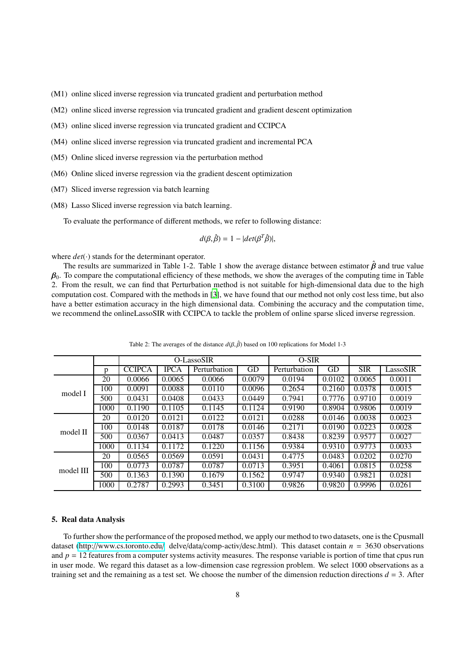(M1) online sliced inverse regression via truncated gradient and perturbation method

- (M2) online sliced inverse regression via truncated gradient and gradient descent optimization
- (M3) online sliced inverse regression via truncated gradient and CCIPCA
- (M4) online sliced inverse regression via truncated gradient and incremental PCA
- (M5) Online sliced inverse regression via the perturbation method
- (M6) Online sliced inverse regression via the gradient descent optimization
- (M7) Sliced inverse regression via batch learning
- (M8) Lasso Sliced inverse regression via batch learning.

To evaluate the performance of different methods, we refer to following distance:

$$
d(\beta, \hat{\beta}) = 1 - |det(\beta^T \hat{\beta})|,
$$

where  $det(\cdot)$  stands for the determinant operator.

The results are summarized in Table 1-2. Table 1 show the average distance between estimator  $\hat{\beta}$  and true value  $\beta_0$ . To compare the computational efficiency of these methods, we show the averages of the computing time in Table 2. From the result, we can find that Perturbation method is not suitable for high-dimensional data due to the high computation cost. Compared with the methods in [\[3\]](#page-9-17), we have found that our method not only cost less time, but also have a better estimation accuracy in the high dimensional data. Combining the accuracy and the computation time, we recommend the onlineLassoSIR with CCIPCA to tackle the problem of online sparse sliced inverse regression.

|           |      | O-LassoSIR    |             |              |        | $O-SIR$      |        |            |          |
|-----------|------|---------------|-------------|--------------|--------|--------------|--------|------------|----------|
|           | p    | <b>CCIPCA</b> | <b>IPCA</b> | Perturbation | GD     | Perturbation | GD     | <b>SIR</b> | LassoSIR |
| model I   | 20   | 0.0066        | 0.0065      | 0.0066       | 0.0079 | 0.0194       | 0.0102 | 0.0065     | 0.0011   |
|           | 100  | 0.0091        | 0.0088      | 0.0110       | 0.0096 | 0.2654       | 0.2160 | 0.0378     | 0.0015   |
|           | 500  | 0.0431        | 0.0408      | 0.0433       | 0.0449 | 0.7941       | 0.7776 | 0.9710     | 0.0019   |
|           | 1000 | 0.1190        | 0.1105      | 0.1145       | 0.1124 | 0.9190       | 0.8904 | 0.9806     | 0.0019   |
|           | 20   | 0.0120        | 0.0121      | 0.0122       | 0.0121 | 0.0288       | 0.0146 | 0.0038     | 0.0023   |
| model II  | 100  | 0.0148        | 0.0187      | 0.0178       | 0.0146 | 0.2171       | 0.0190 | 0.0223     | 0.0028   |
|           | 500  | 0.0367        | 0.0413      | 0.0487       | 0.0357 | 0.8438       | 0.8239 | 0.9577     | 0.0027   |
|           | 1000 | 0.1134        | 0.1172      | 0.1220       | 0.1156 | 0.9384       | 0.9310 | 0.9773     | 0.0033   |
| model III | 20   | 0.0565        | 0.0569      | 0.0591       | 0.0431 | 0.4775       | 0.0483 | 0.0202     | 0.0270   |
|           | 100  | 0.0773        | 0.0787      | 0.0787       | 0.0713 | 0.3951       | 0.4061 | 0.0815     | 0.0258   |
|           | 500  | 0.1363        | 0.1390      | 0.1679       | 0.1562 | 0.9747       | 0.9340 | 0.9821     | 0.0281   |
|           | 1000 | 0.2787        | 0.2993      | 0.3451       | 0.3100 | 0.9826       | 0.9820 | 0.9996     | 0.0261   |

Table 2: The averages of the distance  $d(\beta, \hat{\beta})$  based on 100 replications for Model 1-3

### 5. Real data Analysis

To further show the performance of the proposed method, we apply our method to two datasets, one is the Cpusmall dataset (http://[www.cs.toronto.edu](http://www.cs.toronto.edu/)/ delve/data/comp-activ/desc.html). This dataset contain *n* = 3630 observations and  $p = 12$  features from a computer systems activity measures. The response variable is portion of time that cpus run in user mode. We regard this dataset as a low-dimension case regression problem. We select 1000 observations as a training set and the remaining as a test set. We choose the number of the dimension reduction directions  $d = 3$ . After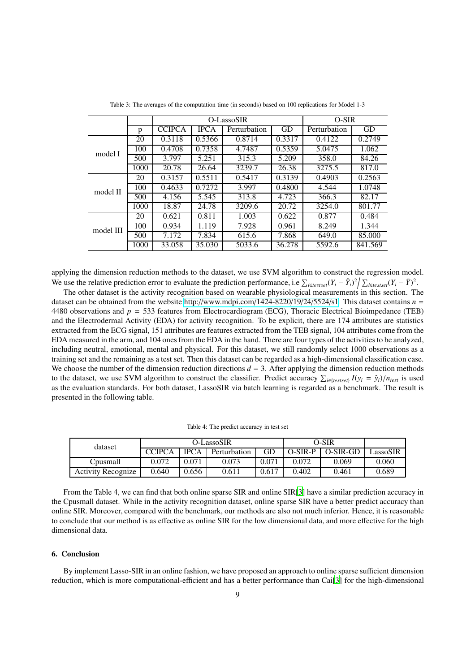|           |      | O-LassoSIR    |             |              |        | O-SIR        |         |  |
|-----------|------|---------------|-------------|--------------|--------|--------------|---------|--|
|           | p    | <b>CCIPCA</b> | <b>IPCA</b> | Perturbation | GD     | Perturbation | GD      |  |
| model I   | 20   | 0.3118        | 0.5366      | 0.8714       | 0.3317 | 0.4122       | 0.2749  |  |
|           | 100  | 0.4708        | 0.7358      | 4.7487       | 0.5359 | 5.0475       | 1.062   |  |
|           | 500  | 3.797         | 5.251       | 315.3        | 5.209  | 358.0        | 84.26   |  |
|           | 1000 | 20.78         | 26.64       | 3239.7       | 26.38  | 3275.5       | 817.0   |  |
|           | 20   | 0.3157        | 0.5511      | 0.5417       | 0.3139 | 0.4903       | 0.2563  |  |
| model II  | 100  | 0.4633        | 0.7272      | 3.997        | 0.4800 | 4.544        | 1.0748  |  |
|           | 500  | 4.156         | 5.545       | 313.8        | 4.723  | 366.3        | 82.17   |  |
|           | 1000 | 18.87         | 24.78       | 3209.6       | 20.72  | 3254.0       | 801.77  |  |
| model III | 20   | 0.621         | 0.811       | 1.003        | 0.622  | 0.877        | 0.484   |  |
|           | 100  | 0.934         | 1.119       | 7.928        | 0.961  | 8.249        | 1.344   |  |
|           | 500  | 7.172         | 7.834       | 615.6        | 7.868  | 649.0        | 85.000  |  |
|           | 1000 | 33.058        | 35.030      | 5033.6       | 36.278 | 5592.6       | 841.569 |  |

Table 3: The averages of the computation time (in seconds) based on 100 replications for Model 1-3

applying the dimension reduction methods to the dataset, we use SVM algorithm to construct the regression model. We use the relative prediction error to evaluate the prediction performance, i.e  $\sum_{i \in testset}(Y_i - \hat{Y}_i)^2 / \sum_{i \in testset}(Y_i - \bar{Y})^2$ .

The other dataset is the activity recognition based on wearable physiological measurements in this section. The dataset can be obtained from the website http://[www.mdpi.com](http://www.mdpi.com/1424-8220/19/24/5524/s1)/1424-8220/19/24/5524/s1. This dataset contains *n* = 4480 observations and *p* = 533 features from Electrocardiogram (ECG), Thoracic Electrical Bioimpedance (TEB) and the Electrodermal Activity (EDA) for activity recognition. To be explicit, there are 174 attributes are statistics extracted from the ECG signal, 151 attributes are features extracted from the TEB signal, 104 attributes come from the EDA measured in the arm, and 104 ones from the EDA in the hand. There are four types of the activities to be analyzed, including neutral, emotional, mental and physical. For this dataset, we still randomly select 1000 observations as a training set and the remaining as a test set. Then this dataset can be regarded as a high-dimensional classification case. We choose the number of the dimension reduction directions  $d = 3$ . After applying the dimension reduction methods to the dataset, we use SVM algorithm to construct the classifier. Predict accuracy  $\sum_{i \in \{testset\}} I(y_i = \hat{y}_i)/n_{test}$  is used as the evaluation standards. For both dataset, LassoSIR via batch learning is regarded as a benchmark. The result is presented in the following table.

| dataset                   | O-LassoSIR    |             |              |       | O-SIR     |            |          |
|---------------------------|---------------|-------------|--------------|-------|-----------|------------|----------|
|                           | <b>CCIPCA</b> | <b>IPCA</b> | Perturbation | GD    | $O-SIR-P$ | $O-SIR-GD$ | LassoSIR |
| Cousmall                  | 0.072         | 0.071       | 0.073        | 0.071 | 0.072     | 0.069      | 0.060    |
| <b>Activity Recognize</b> | 0.640         | 0.656       | 0.611        | 0.617 | 0.402     | 0.461      | 0.689    |

From the Table 4, we can find that both online sparse SIR and online SIR[\[3\]](#page-9-17) have a similar prediction accuracy in the Cpusmall dataset. While in the activity recognition dataset, online sparse SIR have a better predict accuracy than online SIR. Moreover, compared with the benchmark, our methods are also not much inferior. Hence, it is reasonable to conclude that our method is as effective as online SIR for the low dimensional data, and more effective for the high dimensional data.

### 6. Conclusion

By implement Lasso-SIR in an online fashion, we have proposed an approach to online sparse sufficient dimension reduction, which is more computational-efficient and has a better performance than Cai[\[3](#page-9-17)] for the high-dimensional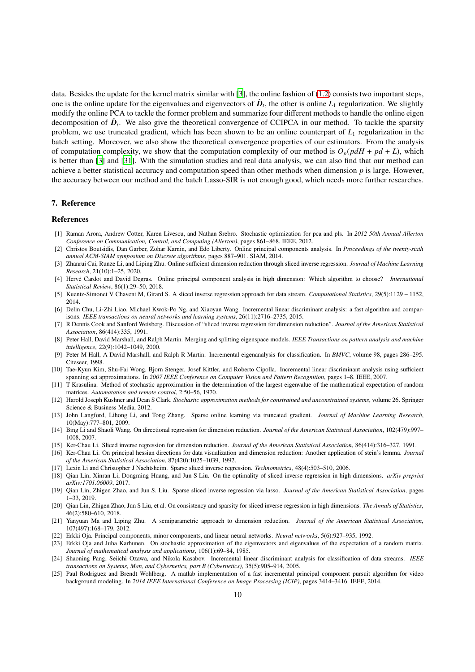data. Besides the update for the kernel matrix similar with [\[3](#page-9-17)], the online fashion of  $(1.2)$  consists two important steps, one is the online update for the eigenvalues and eigenvectors of  $\hat{D}_t$ , the other is online  $L_1$  regularization. We slightly modify the online PCA to tackle the former problem and summarize four different methods to handle the online eigen decomposition of  $\hat{D}_t$ . We also give the theoretical convergence of CCIPCA in our method. To tackle the sparsity problem, we use truncated gradient, which has been shown to be an online counterpart of *L*<sup>1</sup> regularization in the batch setting. Moreover, we also show the theoretical convergence properties of our estimators. From the analysis of computation complexity, we show that the computation complexity of our method is  $O_p(p dH + pd + L)$ , which is better than [\[3](#page-9-17)] and [\[31](#page-10-7)]. With the simulation studies and real data analysis, we can also find that our method can achieve a better statistical accuracy and computation speed than other methods when dimension *p* is large. However, the accuracy between our method and the batch Lasso-SIR is not enough good, which needs more further researches.

#### 7. Reference

#### References

- <span id="page-9-23"></span>[1] Raman Arora, Andrew Cotter, Karen Livescu, and Nathan Srebro. Stochastic optimization for pca and pls. In *2012 50th Annual Allerton Conference on Communication, Control, and Computing (Allerton)*, pages 861–868. IEEE, 2012.
- <span id="page-9-15"></span>[2] Christos Boutsidis, Dan Garber, Zohar Karnin, and Edo Liberty. Online principal components analysis. In *Proceedings of the twenty-sixth annual ACM-SIAM symposium on Discrete algorithms*, pages 887–901. SIAM, 2014.
- <span id="page-9-17"></span>[3] Zhanrui Cai, Runze Li, and Liping Zhu. Online sufficient dimension reduction through sliced inverse regression. *Journal of Machine Learning Research*, 21(10):1–25, 2020.
- <span id="page-9-18"></span>[4] Herv´e Cardot and David Degras. Online principal component analysis in high dimension: Which algorithm to choose? *International Statistical Review*, 86(1):29–50, 2018.
- <span id="page-9-16"></span>[5] Kuentz-Simonet V Chavent M, Girard S. A sliced inverse regression approach for data stream. *Computational Statistics*, 29(5):1129 – 1152, 2014.
- <span id="page-9-12"></span>[6] Delin Chu, Li-Zhi Liao, Michael Kwok-Po Ng, and Xiaoyan Wang. Incremental linear discriminant analysis: a fast algorithm and comparisons. *IEEE transactions on neural networks and learning systems*, 26(11):2716–2735, 2015.
- <span id="page-9-1"></span>[7] R Dennis Cook and Sanford Weisberg. Discussion of "sliced inverse regression for dimension reduction". *Journal of the American Statistical Association*, 86(414):335, 1991.
- <span id="page-9-9"></span>[8] Peter Hall, David Marshall, and Ralph Martin. Merging and splitting eigenspace models. *IEEE Transactions on pattern analysis and machine intelligence*, 22(9):1042–1049, 2000.
- <span id="page-9-10"></span>[9] Peter M Hall, A David Marshall, and Ralph R Martin. Incremental eigenanalysis for classification. In *BMVC*, volume 98, pages 286–295. Citeseer, 1998.
- <span id="page-9-13"></span>[10] Tae-Kyun Kim, Shu-Fai Wong, Bjorn Stenger, Josef Kittler, and Roberto Cipolla. Incremental linear discriminant analysis using sufficient spanning set approximations. In *2007 IEEE Conference on Computer Vision and Pattern Recognition*, pages 1–8. IEEE, 2007.
- <span id="page-9-20"></span>[11] T Krasulina. Method of stochastic approximation in the determination of the largest eigenvalue of the mathematical expectation of random matrices. *Automatation and remote control*, 2:50–56, 1970.
- <span id="page-9-24"></span>[12] Harold Joseph Kushner and Dean S Clark. *Stochastic approximation methods for constrained and unconstrained systems*, volume 26. Springer Science & Business Media, 2012.
- <span id="page-9-19"></span>[13] John Langford, Lihong Li, and Tong Zhang. Sparse online learning via truncated gradient. *Journal of Machine Learning Research*, 10(May):777–801, 2009.
- <span id="page-9-2"></span>[14] Bing Li and Shaoli Wang. On directional regression for dimension reduction. *Journal of the American Statistical Association*, 102(479):997– 1008, 2007.
- <span id="page-9-0"></span>[15] Ker-Chau Li. Sliced inverse regression for dimension reduction. *Journal of the American Statistical Association*, 86(414):316–327, 1991.
- <span id="page-9-3"></span>[16] Ker-Chau Li. On principal hessian directions for data visualization and dimension reduction: Another application of stein's lemma. *Journal of the American Statistical Association*, 87(420):1025–1039, 1992.
- <span id="page-9-6"></span>[17] Lexin Li and Christopher J Nachtsheim. Sparse sliced inverse regression. *Technometrics*, 48(4):503–510, 2006.
- <span id="page-9-7"></span>[18] Qian Lin, Xinran Li, Dongming Huang, and Jun S Liu. On the optimality of sliced inverse regression in high dimensions. *arXiv preprint arXiv:1701.06009*, 2017.
- <span id="page-9-5"></span>[19] Qian Lin, Zhigen Zhao, and Jun S. Liu. Sparse sliced inverse regression via lasso. *Journal of the American Statistical Association*, pages 1–33, 2019.
- <span id="page-9-8"></span>[20] Qian Lin, Zhigen Zhao, Jun S Liu, et al. On consistency and sparsity for sliced inverse regression in high dimensions. *The Annals of Statistics*, 46(2):580–610, 2018.
- <span id="page-9-4"></span>[21] Yanyuan Ma and Liping Zhu. A semiparametric approach to dimension reduction. *Journal of the American Statistical Association*, 107(497):168–179, 2012.
- <span id="page-9-21"></span>[22] Erkki Oja. Principal components, minor components, and linear neural networks. *Neural networks*, 5(6):927–935, 1992.
- <span id="page-9-22"></span>[23] Erkki Oja and Juha Karhunen. On stochastic approximation of the eigenvectors and eigenvalues of the expectation of a random matrix. *Journal of mathematical analysis and applications*, 106(1):69–84, 1985.
- <span id="page-9-14"></span>[24] Shaoning Pang, Seiichi Ozawa, and Nikola Kasabov. Incremental linear discriminant analysis for classification of data streams. *IEEE transactions on Systems, Man, and Cybernetics, part B (Cybernetics)*, 35(5):905–914, 2005.
- <span id="page-9-11"></span>[25] Paul Rodriguez and Brendt Wohlberg. A matlab implementation of a fast incremental principal component pursuit algorithm for video background modeling. In *2014 IEEE International Conference on Image Processing (ICIP)*, pages 3414–3416. IEEE, 2014.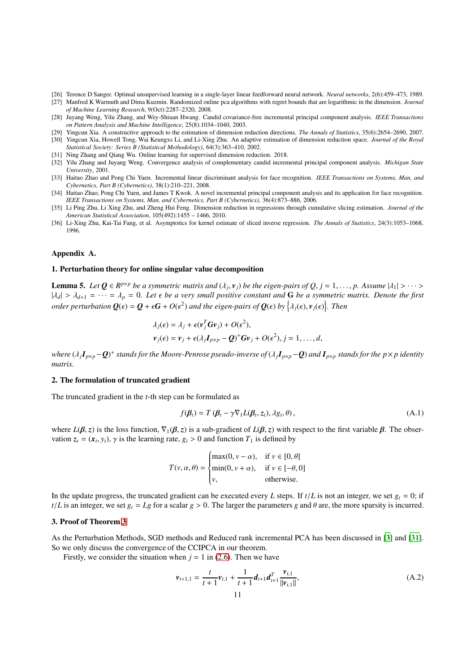- <span id="page-10-9"></span>[26] Terence D Sanger. Optimal unsupervised learning in a single-layer linear feedforward neural network. *Neural networks*, 2(6):459–473, 1989.
- <span id="page-10-6"></span>[27] Manfred K Warmuth and Dima Kuzmin. Randomized online pca algorithms with regret bounds that are logarithmic in the dimension. *Journal of Machine Learning Research*, 9(Oct):2287–2320, 2008.
- <span id="page-10-3"></span>[28] Juyang Weng, Yilu Zhang, and Wey-Shiuan Hwang. Candid covariance-free incremental principal component analysis. *IEEE Transactions on Pattern Analysis and Machine Intelligence*, 25(8):1034–1040, 2003.
- <span id="page-10-1"></span><span id="page-10-0"></span>[29] Yingcun Xia. A constructive approach to the estimation of dimension reduction directions. *The Annals of Statistics*, 35(6):2654–2690, 2007. [30] Yingcun Xia, Howell Tong, Wai Keungxs Li, and Li-Xing Zhu. An adaptive estimation of dimension reduction space. *Journal of the Royal Statistical Society: Series B (Statistical Methodology)*, 64(3):363–410, 2002.
- <span id="page-10-7"></span>[31] Ning Zhang and Qiang Wu. Online learning for supervised dimension reduction. 2018.
- <span id="page-10-12"></span>[32] Yilu Zhang and Juyang Weng. Convergence analysis of complementary candid incremental principal component analysis. *Michigan State University*, 2001.
- <span id="page-10-5"></span>[33] Haitao Zhao and Pong Chi Yuen. Incremental linear discriminant analysis for face recognition. *IEEE Transactions on Systems, Man, and Cybernetics, Part B (Cybernetics)*, 38(1):210–221, 2008.
- <span id="page-10-4"></span>[34] Haitao Zhao, Pong Chi Yuen, and James T Kwok. A novel incremental principal component analysis and its application for face recognition. *IEEE Transactions on Systems, Man, and Cybernetics, Part B (Cybernetics)*, 36(4):873–886, 2006.
- <span id="page-10-8"></span>[35] Li Ping Zhu, Li Xing Zhu, and Zheng Hui Feng. Dimension reduction in regressions through cumulative slicing estimation. *Journal of the American Statistical Association*, 105(492):1455 – 1466, 2010.
- <span id="page-10-2"></span>[36] Li-Xing Zhu, Kai-Tai Fang, et al. Asymptotics for kernel estimate of sliced inverse regression. *The Annals of Statistics*, 24(3):1053–1068, 1996.

### Appendix A.

### <span id="page-10-10"></span>1. Perturbation theory for online singular value decomposition

**Lemma 5.** Let  $Q \in R^{p \times p}$  be a symmetric matrix and  $(\lambda_j, v_j)$  be the eigen-pairs of  $Q, j = 1, ..., p$ . Assume  $|\lambda_1| > ... >$  $|\lambda_d| > \lambda_{d+1} = \cdots = \lambda_p = 0$ . Let  $\epsilon$  be a very small positive constant and G be a symmetric matrix. Denote the first *order perturbation*  $Q(\epsilon) = Q + \epsilon G + O(\epsilon^2)$  and the eigen-pairs of  $Q(\epsilon)$  by  $\{\lambda_j(\epsilon), v_j(\epsilon)\}$ . Then

$$
\lambda_j(\epsilon) = \lambda_j + \epsilon(\mathbf{v}_j^T \mathbf{G} \mathbf{v}_j) + O(\epsilon^2),
$$
  

$$
\mathbf{v}_j(\epsilon) = \mathbf{v}_j + \epsilon(\lambda_j \mathbf{I}_{p \times p} - \mathbf{Q})^+ \mathbf{G} \mathbf{v}_j + O(\epsilon^2), j = 1, ..., d,
$$

where  $(\lambda_jI_{p\times p}-Q)^+$  stands for the Moore-Penrose pseudo-inverse of  $(\lambda_jI_{p\times p}-Q)$  and  $I_{p\times p}$  stands for the  $p\times p$  identity *matrix.*

### 2. The formulation of truncated gradient

The truncated gradient in the *t*-th step can be formulated as

<span id="page-10-11"></span>
$$
f(\boldsymbol{\beta}_t) = T(\boldsymbol{\beta}_t - \gamma \nabla_1 L(\boldsymbol{\beta}_t, z_t), \lambda g_t, \theta), \qquad (A.1)
$$

where  $L(\beta, z)$  is the loss function,  $\nabla_1(\beta, z)$  is a sub-gradient of  $L(\beta, z)$  with respect to the first variable  $\beta$ . The observation  $z_t = (x_t, y_t)$ ,  $\gamma$  is the learning rate,  $g_i > 0$  and function  $T_1$  is defined by

$$
T(v, \alpha, \theta) = \begin{cases} \max(0, v - \alpha), & \text{if } v \in [0, \theta] \\ \min(0, v + \alpha), & \text{if } v \in [-\theta, 0] \\ v, & \text{otherwise.} \end{cases}
$$

In the update progress, the truncated gradient can be executed every *L* steps. If  $t/L$  is not an integer, we set  $g_t = 0$ ; if  $t/L$  is an integer, we set  $g_t = Lg$  for a scalar  $g > 0$ . The larger the parameters *g* and  $\theta$  are, the more sparsity is incurred.

#### 3. Proof of Theorem [3](#page-6-1)

As the Perturbation Methods, SGD methods and Reduced rank incremental PCA has been discussed in [\[3\]](#page-9-17) and [\[31\]](#page-10-7). So we only discuss the convergence of the CCIPCA in our theorem.

Firstly, we consider the situation when  $j = 1$  in [\(2.6\)](#page-3-0). Then we have

$$
\nu_{t+1,1} = \frac{t}{t+1} \nu_{t,1} + \frac{1}{t+1} d_{t+1} d_{t+1}^T \frac{\nu_{t,1}}{\|\nu_{t,1}\|},\tag{A.2}
$$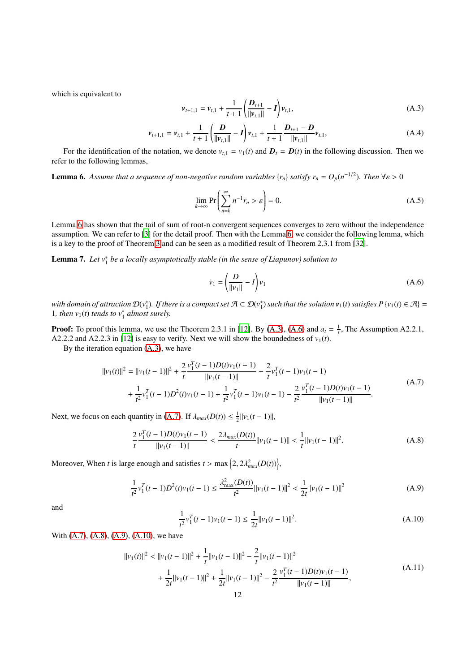which is equivalent to

<span id="page-11-1"></span>
$$
\nu_{t+1,1} = \nu_{t,1} + \frac{1}{t+1} \left( \frac{D_{t+1}}{\|\nu_{t,1}\|} - I \right) \nu_{t,1},
$$
\n(A.3)

<span id="page-11-8"></span><span id="page-11-0"></span>
$$
\nu_{t+1,1} = \nu_{t,1} + \frac{1}{t+1} \left( \frac{D}{\|\nu_{t,1}\|} - I \right) \nu_{t,1} + \frac{1}{t+1} \frac{D_{t+1} - D}{\|\nu_{t,1}\|} \nu_{t,1},\tag{A.4}
$$

For the identification of the notation, we denote  $v_{t,1} = v_1(t)$  and  $D_t = D(t)$  in the following discussion. Then we refer to the following lemmas,

**Lemma 6.** Assume that a sequence of non-negative random variables  $\{r_n\}$  satisfy  $r_n = O_p(n^{-1/2})$ . Then  $\forall \varepsilon > 0$ 

$$
\lim_{k \to \infty} \Pr\left(\sum_{n=k}^{\infty} n^{-1} r_n > \varepsilon\right) = 0.
$$
\n(A.5)

Lemma [6](#page-11-0) has shown that the tail of sum of root-n convergent sequences converges to zero without the independence assumption. We can refer to [\[3\]](#page-9-17) for the detail proof. Then with the Lemma [6,](#page-11-0) we consider the following lemma, which is a key to the proof of Theorem [3](#page-6-1) and can be seen as a modified result of Theorem 2.3.1 from [\[32](#page-10-12)].

**Lemma 7.** Let  $v_1^*$  be a locally asymptotically stable (in the sense of Liapunov) solution to

<span id="page-11-7"></span><span id="page-11-2"></span>
$$
\dot{\nu}_1 = \left(\frac{D}{\|\nu_1\|} - I\right) \nu_1 \tag{A.6}
$$

with domain of attraction  $\mathcal{D}(v_1^*)$ . If there is a compact set  $\mathcal{A} \subset \mathcal{D}(v_1^*)$  such that the solution  $v_1(t)$  satisfies  $P\{v_1(t) \in \mathcal{A}\} =$ 1, then  $v_1(t)$  tends to  $v_1^*$  almost surely.

**Proof:** To proof this lemma, we use the Theorem 2.3.1 in [\[12\]](#page-9-24). By [\(A.3\)](#page-11-1), [\(A.6\)](#page-11-2) and  $a_t = \frac{1}{t}$ , The Assumption A2.2.1, A2.2.2 and A2.2.3 in [\[12](#page-9-24)] is easy to verify. Next we will show the boundedness of  $v_1(t)$ .

By the iteration equation  $(A.3)$ , we have

$$
||v_1(t)||^2 = ||v_1(t-1)||^2 + \frac{2}{t} \frac{v_1^T(t-1)D(t)v_1(t-1)}{||v_1(t-1)||} - \frac{2}{t} v_1^T(t-1)v_1(t-1)
$$
  
+ 
$$
\frac{1}{t^2} v_1^T(t-1)D^2(t)v_1(t-1) + \frac{1}{t^2} v_1^T(t-1)v_1(t-1) - \frac{2}{t^2} \frac{v_1^T(t-1)D(t)v_1(t-1)}{||v_1(t-1)||}.
$$
 (A.7)

<span id="page-11-3"></span>Next, we focus on each quantity in [\(A.7\)](#page-11-3). If  $\lambda_{max}(D(t)) \leq \frac{1}{2} ||v_1(t-1)||$ ,

<span id="page-11-4"></span>
$$
\frac{2}{t}\frac{v_1^T(t-1)D(t)v_1(t-1)}{\|v_1(t-1)\|} < \frac{2\lambda_{max}(D(t))}{t}\|v_1(t-1)\| < \frac{1}{t}\|v_1(t-1)\|^2. \tag{A.8}
$$

Moreover, When *t* is large enough and satisfies  $t > \max\left\{2, 2\lambda_{max}^2(D(t))\right\}$ ,

<span id="page-11-5"></span>
$$
\frac{1}{t^2}v_1^T(t-1)D^2(t)v_1(t-1) \le \frac{\lambda_{\text{max}}^2(D(t))}{t^2}||v_1(t-1)||^2 < \frac{1}{2t}||v_1(t-1)||^2
$$
\n(A.9)

and

<span id="page-11-6"></span>
$$
\frac{1}{t^2}v_1^T(t-1)v_1(t-1) \le \frac{1}{2t}||v_1(t-1)||^2.
$$
\n(A.10)

With [\(A.7\)](#page-11-3), [\(A.8\)](#page-11-4), [\(A.9\)](#page-11-5), [\(A.10\)](#page-11-6), we have

$$
||v_1(t)||^2 < ||v_1(t-1)||^2 + \frac{1}{t}||v_1(t-1)||^2 - \frac{2}{t}||v_1(t-1)||^2
$$
  
+ 
$$
\frac{1}{2t}||v_1(t-1)||^2 + \frac{1}{2t}||v_1(t-1)||^2 - \frac{2}{t^2} \frac{v_1^T(t-1)D(t)v_1(t-1)}{||v_1(t-1)||},
$$
 (A.11)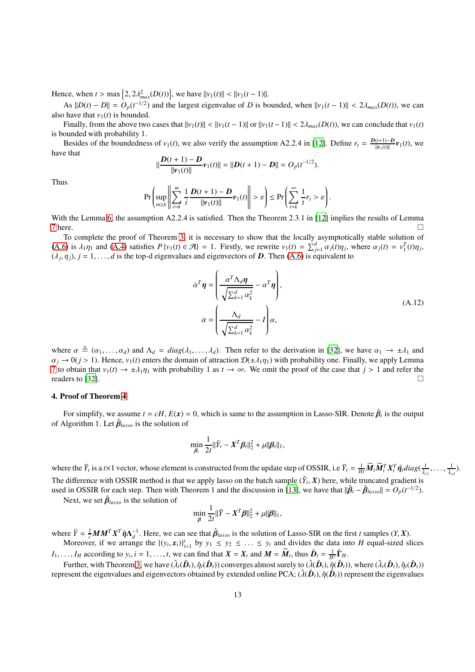Hence, when  $t > \max\{2, 2\lambda_{max}^2(D(t))\}$ , we have  $||v_1(t)|| < ||v_1(t-1)||$ .

As  $||D(t) - D|| = O_p(t^{-1/2})$  and the largest eigenvalue of *D* is bounded, when  $||v_1(t-1)|| < 2\lambda_{max}(D(t))$ , we can also have that  $v_1(t)$  is bounded.

Finally, from the above two cases that  $||v_1(t)|| < ||v_1(t-1)||$  or  $||v_1(t-1)|| < 2\lambda_{max}(D(t))$ , we can conclude that  $v_1(t)$ is bounded with probability 1.

Besides of the boundedness of *v*<sub>1</sub>(*t*), we also verify the assumption A2.2.4 in [\[12\]](#page-9-24). Define  $r_t = \frac{D(t+1)-D}{||v_1(t)||}$  $\frac{(t+1)-D}{\|\nu_1(t)\|} \nu_1(t)$ , we have that

$$
\|\frac{\mathbf{D}(t+1)-\mathbf{D}}{\|\mathbf{\nu}_1(t)\|}\mathbf{\nu}_1(t)\| = \|\mathbf{D}(t+1)-\mathbf{D}\| = O_p(t^{-1/2}).
$$

Thus

$$
\Pr\left(\sup_{m\geq k}\left\|\sum_{i=k}^m\frac{1}{i}\frac{D(t+1)-D}{\|v_1(t)\|}\nu_1(t)\right\|>\varepsilon\right)\leq \Pr\left(\sum_{t=k}^\infty\frac{1}{t}r_t>\varepsilon\right).
$$

With the Lemma [6,](#page-11-0) the assumption A2.2.4 is satisfied. Then the Theorem 2.3.1 in [\[12\]](#page-9-24) implies the results of Lemma  $7 \text{ here.}$  $7 \text{ here.}$ 

To complete the proof of Theorem [3,](#page-6-1) it is necessary to show that the locally asymptotically stable solution of [\(A.6\)](#page-11-2) is  $\lambda_1 \eta_1$  and [\(A.4\)](#page-11-8) satisfies  $P\{v_1(t) \in \mathcal{A}\} = 1$ . Firstly, we rewrite  $v_1(t) = \sum_{j=1}^d \alpha_j(t)\eta_j$ , where  $\alpha_j(t) = v_1^T(t)\eta_j$ ,  $(\lambda_j, \eta_j)$ ,  $j = 1, \ldots, d$  is the top-d eigenvalues and eigenvectors of *D*. Then [\(A.6\)](#page-11-2) is equivalent to

$$
\dot{\alpha}^T \mathbf{\eta} = \left( \frac{\alpha^T \Lambda_d \mathbf{\eta}}{\sqrt{\sum_{k=1}^d \alpha_k^2}} - \alpha^T \mathbf{\eta} \right),
$$
\n
$$
\dot{\alpha} = \left( \frac{\Lambda_d}{\sqrt{\sum_{k=1}^d \alpha_k^2}} - I \right) \alpha,
$$
\n(A.12)

where  $\alpha \triangleq (\alpha_1, \ldots, \alpha_d)$  and  $\Lambda_d = diag(\lambda_1, \ldots, \lambda_d)$ . Then refer to the derivation in [\[32\]](#page-10-12), we have  $\alpha_1 \to \pm \lambda_1$  and  $\alpha_j \to 0$ ( $j > 1$ ). Hence,  $v_1(t)$  enters the domain of attraction  $\mathcal{D}(\pm \lambda_1 \eta_1)$  with probability one. Finally, we apply Lemma [7](#page-11-7) to obtain that *v*<sub>1</sub>(*t*) → ± $\lambda$ <sub>1</sub> $\eta$ <sub>1</sub> with probability 1 as *t* → ∞. We omit the proof of the case that *j* > 1 and refer the readers to [32]. readers to [\[32](#page-10-12)].

### 4. Proof of Theorem [4](#page-6-2)

For simplify, we assume  $t = cH$ ,  $E(x) = 0$ , which is same to the assumption in Lasso-SIR. Denote  $\hat{\beta}_t$  is the output of Algorithm 1. Let  $\tilde{\beta}_{lasso}$  is the solution of

$$
\min_{\beta_t} \frac{1}{2t} ||\tilde{Y}_t - X^T \beta_t||_2^2 + \mu ||\beta_t||_1,
$$

where the  $\tilde{Y}_t$  is a t is a t vector, whose element is constructed from the update step of OSSIR, i.e  $\tilde{Y}_t = \frac{1}{Ht} \widetilde{M}_t \widetilde{M}_t^T X_t^T \hat{\eta}_t diag(\frac{1}{\lambda_{t,1}}, \dots, \frac{1}{\lambda_{t,d}})$ . The difference with OSSIR method is that we apply lasso on the batch sample  $(\tilde{Y}_t, X)$  here, while truncated gradient is

used in OSSIR for each step. Then with Theorem 1 and the discussion in [\[13\]](#page-9-19), we have that  $\|\hat{\boldsymbol{\beta}}_t - \tilde{\boldsymbol{\beta}}_{lasso}\| = O_p(t^{-1/2})$ . Next, we set  $\hat{\beta}_{lasso}$  is the solution of

$$
\min_{\beta} \frac{1}{2t} ||\tilde{Y} - X^T \beta||_2^2 + \mu ||\beta||_1,
$$

where  $\tilde{Y} = \frac{1}{c}MM^TX^T \hat{\eta} \Lambda_d^{-1}$ . Here, we can see that  $\hat{\beta}_{lasso}$  is the solution of Lasso-SIR on the first *t* samples  $(Y, X)$ . Moreover, if we arrange the  $\{(y_i, x_i)\}_{i=1}^t$  by  $y_1 \leq y_2 \leq \ldots \leq y_t$  and divides the data into *H* equal-sized slices

 $I_1, \ldots, I_H$  according to  $y_i, i = 1, \ldots, t$ , we can find that  $X = X_t$  and  $M = \widetilde{M}_t$ , thus  $\hat{D}_t = \frac{1}{H^2} \hat{\Gamma}_H$ . Further, with Theorem [3,](#page-6-1) we have  $(\hat{\lambda}_t(\hat{\bm{D}}_t),\hat{\eta}_t(\hat{\bm{D}}_t))$  converges almost surely to  $(\hat{\lambda}(\hat{\bm{D}}_t),\hat{\eta}(\hat{\bm{D}}_t))$ , where  $(\hat{\lambda}_t(\hat{\bm{D}}_t),\hat{\eta}_t(\hat{\bm{D}}_t))$ 

represent the eigenvalues and eigenvectors obtained by extended online PCA;  $(\hat{\lambda}(\hat{\bm{D}}_t),\hat{\eta}(\hat{\bm{D}}_t))$  represent the eigenvalues